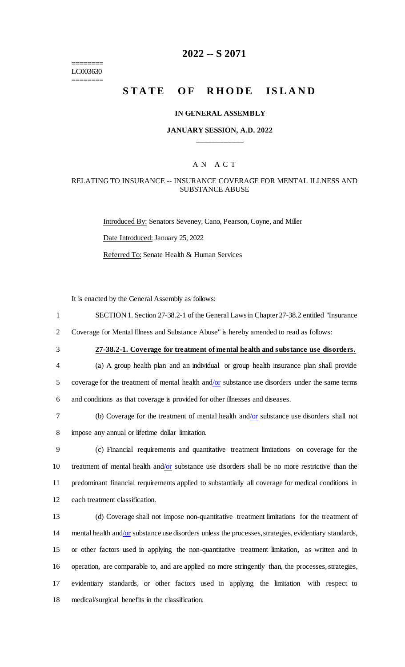======== LC003630 ========

## **2022 -- S 2071**

# **STATE OF RHODE ISLAND**

#### **IN GENERAL ASSEMBLY**

#### **JANUARY SESSION, A.D. 2022 \_\_\_\_\_\_\_\_\_\_\_\_**

## A N A C T

#### RELATING TO INSURANCE -- INSURANCE COVERAGE FOR MENTAL ILLNESS AND SUBSTANCE ABUSE

Introduced By: Senators Seveney, Cano, Pearson, Coyne, and Miller Date Introduced: January 25, 2022 Referred To: Senate Health & Human Services

It is enacted by the General Assembly as follows:

1 SECTION 1. Section 27-38.2-1 of the General Laws in Chapter 27-38.2 entitled "Insurance

2 Coverage for Mental Illness and Substance Abuse" is hereby amended to read as follows:

3 **27-38.2-1. Coverage for treatment of mental health and substance use disorders.**

- 4 (a) A group health plan and an individual or group health insurance plan shall provide 5 coverage for the treatment of mental health and/or substance use disorders under the same terms 6 and conditions as that coverage is provided for other illnesses and diseases.
	-

7 (b) Coverage for the treatment of mental health and/or substance use disorders shall not 8 impose any annual or lifetime dollar limitation.

 (c) Financial requirements and quantitative treatment limitations on coverage for the treatment of mental health and/or substance use disorders shall be no more restrictive than the predominant financial requirements applied to substantially all coverage for medical conditions in each treatment classification.

 (d) Coverage shall not impose non-quantitative treatment limitations for the treatment of 14 mental health and/or substance use disorders unless the processes, strategies, evidentiary standards, or other factors used in applying the non-quantitative treatment limitation, as written and in operation, are comparable to, and are applied no more stringently than, the processes, strategies, evidentiary standards, or other factors used in applying the limitation with respect to medical/surgical benefits in the classification.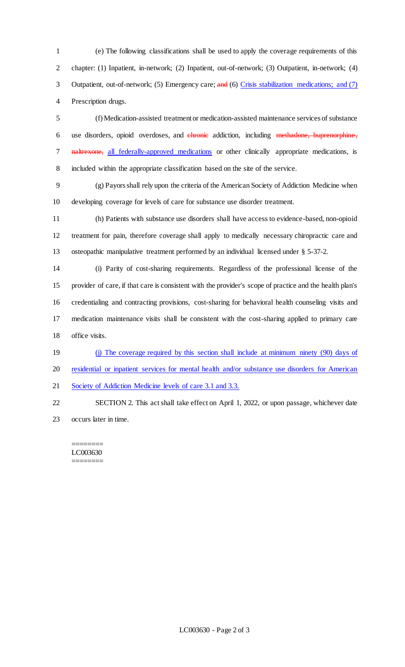(e) The following classifications shall be used to apply the coverage requirements of this chapter: (1) Inpatient, in-network; (2) Inpatient, out-of-network; (3) Outpatient, in-network; (4) 3 Outpatient, out-of-network; (5) Emergency care; and (6) Crisis stabilization medications; and (7) Prescription drugs.

 (f) Medication-assisted treatment or medication-assisted maintenance services of substance 6 use disorders, opioid overdoses, and *chronic* addiction, including methadone, buprenorphine, 7 naltrexone, all federally-approved medications or other clinically appropriate medications, is included within the appropriate classification based on the site of the service.

 (g) Payors shall rely upon the criteria of the American Society of Addiction Medicine when developing coverage for levels of care for substance use disorder treatment.

 (h) Patients with substance use disorders shall have access to evidence-based, non-opioid treatment for pain, therefore coverage shall apply to medically necessary chiropractic care and osteopathic manipulative treatment performed by an individual licensed under § 5-37-2.

 (i) Parity of cost-sharing requirements. Regardless of the professional license of the provider of care, if that care is consistent with the provider's scope of practice and the health plan's credentialing and contracting provisions, cost-sharing for behavioral health counseling visits and medication maintenance visits shall be consistent with the cost-sharing applied to primary care 18 office visits.

19 (j) The coverage required by this section shall include at minimum ninety (90) days of

residential or inpatient services for mental health and/or substance use disorders for American

21 Society of Addiction Medicine levels of care 3.1 and 3.3.

 SECTION 2. This act shall take effect on April 1, 2022, or upon passage, whichever date occurs later in time.

======== LC003630 ========